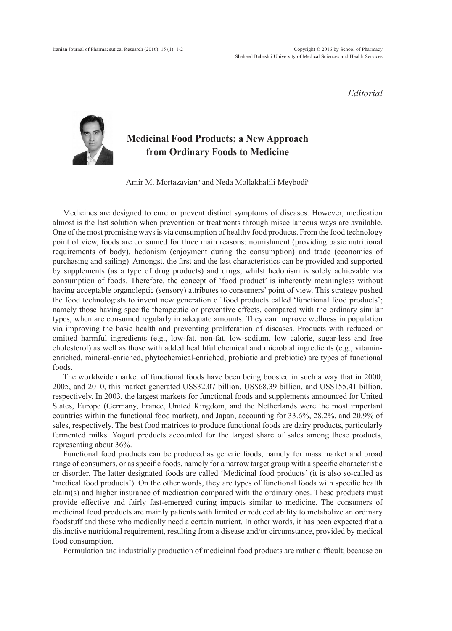*Editorial*



## **Medicinal Food Products; a New Approach from Ordinary Foods to Medicine**

Amir M. Mortazavian*<sup>a</sup>* and Neda Mollakhalili Meybodi*<sup>b</sup>*

Medicines are designed to cure or prevent distinct symptoms of diseases. However, medication almost is the last solution when prevention or treatments through miscellaneous ways are available. One of the most promising ways is via consumption of healthy food products. From the food technology point of view, foods are consumed for three main reasons: nourishment (providing basic nutritional requirements of body), hedonism (enjoyment during the consumption) and trade (economics of purchasing and sailing). Amongst, the first and the last characteristics can be provided and supported by supplements (as a type of drug products) and drugs, whilst hedonism is solely achievable via consumption of foods. Therefore, the concept of 'food product' is inherently meaningless without having acceptable organoleptic (sensory) attributes to consumers' point of view. This strategy pushed the food technologists to invent new generation of food products called 'functional food products'; namely those having specific therapeutic or preventive effects, compared with the ordinary similar types, when are consumed regularly in adequate amounts. They can improve wellness in population via improving the basic health and preventing proliferation of diseases. Products with reduced or omitted harmful ingredients (e.g., low-fat, non-fat, low-sodium, low calorie, sugar-less and free cholesterol) as well as those with added healthful chemical and microbial ingredients (e.g., vitaminenriched, mineral-enriched, phytochemical-enriched, probiotic and prebiotic) are types of functional foods.

The worldwide market of functional foods have been being boosted in such a way that in 2000, 2005, and 2010, this market generated US\$32.07 billion, US\$68.39 billion, and US\$155.41 billion, respectively. In 2003, the largest markets for functional foods and supplements announced for United States, Europe (Germany, France, United Kingdom, and the Netherlands were the most important countries within the functional food market), and Japan, accounting for 33.6%, 28.2%, and 20.9% of sales, respectively. The best food matrices to produce functional foods are dairy products, particularly fermented milks. Yogurt products accounted for the largest share of sales among these products, representing about 36%.

Functional food products can be produced as generic foods, namely for mass market and broad range of consumers, or as specific foods, namely for a narrow target group with a specific characteristic or disorder. The latter designated foods are called 'Medicinal food products' (it is also so-called as 'medical food products'). On the other words, they are types of functional foods with specific health claim(s) and higher insurance of medication compared with the ordinary ones. These products must provide effective and fairly fast-emerged curing impacts similar to medicine. The consumers of medicinal food products are mainly patients with limited or reduced ability to metabolize an ordinary foodstuff and those who medically need a certain nutrient. In other words, it has been expected that a distinctive nutritional requirement, resulting from a disease and/or circumstance, provided by medical food consumption.

Formulation and industrially production of medicinal food products are rather difficult; because on